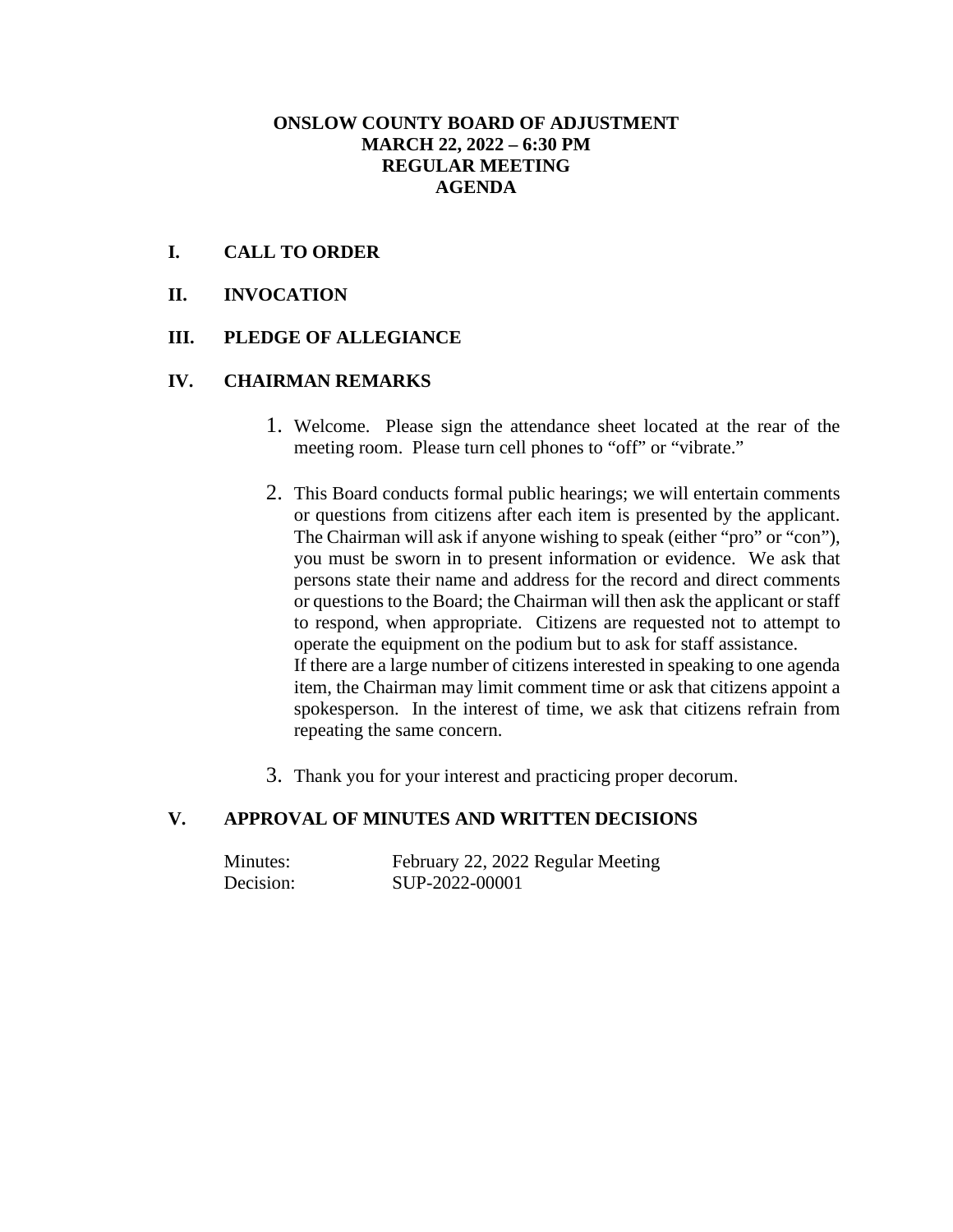## **ONSLOW COUNTY BOARD OF ADJUSTMENT MARCH 22, 2022 – 6:30 PM REGULAR MEETING AGENDA**

## **I. CALL TO ORDER**

**II. INVOCATION**

### **III. PLEDGE OF ALLEGIANCE**

#### **IV. CHAIRMAN REMARKS**

- 1. Welcome. Please sign the attendance sheet located at the rear of the meeting room. Please turn cell phones to "off" or "vibrate."
- 2. This Board conducts formal public hearings; we will entertain comments or questions from citizens after each item is presented by the applicant. The Chairman will ask if anyone wishing to speak (either "pro" or "con"), you must be sworn in to present information or evidence. We ask that persons state their name and address for the record and direct comments or questions to the Board; the Chairman will then ask the applicant or staff to respond, when appropriate. Citizens are requested not to attempt to operate the equipment on the podium but to ask for staff assistance. If there are a large number of citizens interested in speaking to one agenda item, the Chairman may limit comment time or ask that citizens appoint a spokesperson. In the interest of time, we ask that citizens refrain from repeating the same concern.
- 3. Thank you for your interest and practicing proper decorum.

# **V. APPROVAL OF MINUTES AND WRITTEN DECISIONS**

| Minutes:  | February 22, 2022 Regular Meeting |
|-----------|-----------------------------------|
| Decision: | SUP-2022-00001                    |